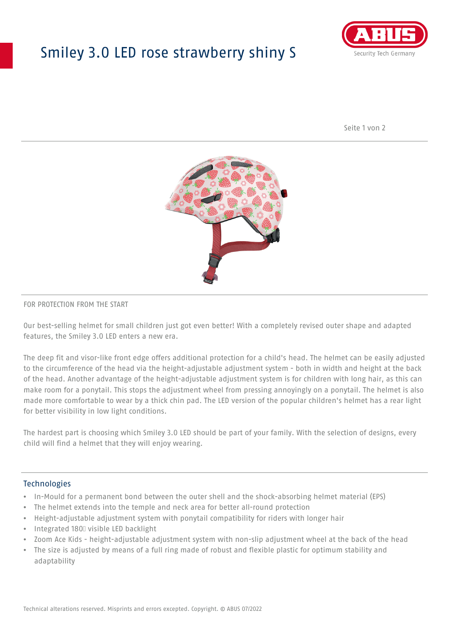## Smiley 3.0 LED rose strawberry shiny S



Seite 1 von 2



#### FOR PROTECTION FROM THE START

Our best-selling helmet for small children just got even better! With a completely revised outer shape and adapted features, the Smiley 3.0 LED enters a new era.

The deep fit and visor-like front edge offers additional protection for a child's head. The helmet can be easily adjusted to the circumference of the head via the height-adjustable adjustment system - both in width and height at the back of the head. Another advantage of the height-adjustable adjustment system is for children with long hair, as this can make room for a ponytail. This stops the adjustment wheel from pressing annoyingly on a ponytail. The helmet is also made more comfortable to wear by a thick chin pad. The LED version of the popular children's helmet has a rear light for better visibility in low light conditions.

The hardest part is choosing which Smiley 3.0 LED should be part of your family. With the selection of designs, every child will find a helmet that they will enjoy wearing.

#### **Technologies**

- In-Mould for a permanent bond between the outer shell and the shock-absorbing helmet material (EPS)
- The helmet extends into the temple and neck area for better all-round protection
- Height-adjustable adjustment system with ponytail compatibility for riders with longer hair
- Integrated 180⁰ visible LED backlight
- Zoom Ace Kids height-adjustable adjustment system with non-slip adjustment wheel at the back of the head
- The size is adjusted by means of a full ring made of robust and flexible plastic for optimum stability and adaptability